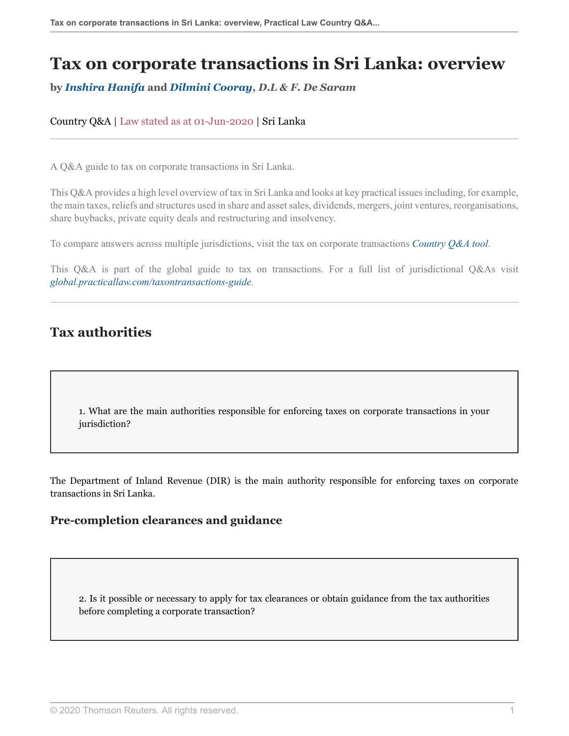# **Tax on corporate transactions in Sri Lanka: overview**

**by** *[Inshira Hanifa](#page-19-0)* **and** *[Dilmini Cooray](#page-20-0)***,** *D.L & F. De Saram*

Country Q&A | Law stated as at 01-Jun-2020 | Sri Lanka

A Q&A guide to tax on corporate transactions in Sri Lanka.

This Q&A provides a high level overview of tax in Sri Lanka and looks at key practical issues including, for example, the main taxes, reliefs and structures used in share and asset sales, dividends, mergers, joint ventures, reorganisations, share buybacks, private equity deals and restructuring and insolvency.

To compare answers across multiple jurisdictions, visit the tax on corporate transactions *[Country Q&A tool](https://uk.practicallaw.thomsonreuters.com/QACompare/Builder/Country )*.

This Q&A is part of the global guide to tax on transactions. For a full list of jurisdictional Q&As visit *[global.practicallaw.com/taxontransactions-guide.](https://uk.practicallaw.thomsonreuters.com/Browse/Home/International/TaxOnTransactionsGlobalGuide )*

## **Tax authorities**

1. What are the main authorities responsible for enforcing taxes on corporate transactions in your jurisdiction?

The Department of Inland Revenue (DIR) is the main authority responsible for enforcing taxes on corporate transactions in Sri Lanka.

## **Pre-completion clearances and guidance**

2. Is it possible or necessary to apply for tax clearances or obtain guidance from the tax authorities before completing a corporate transaction?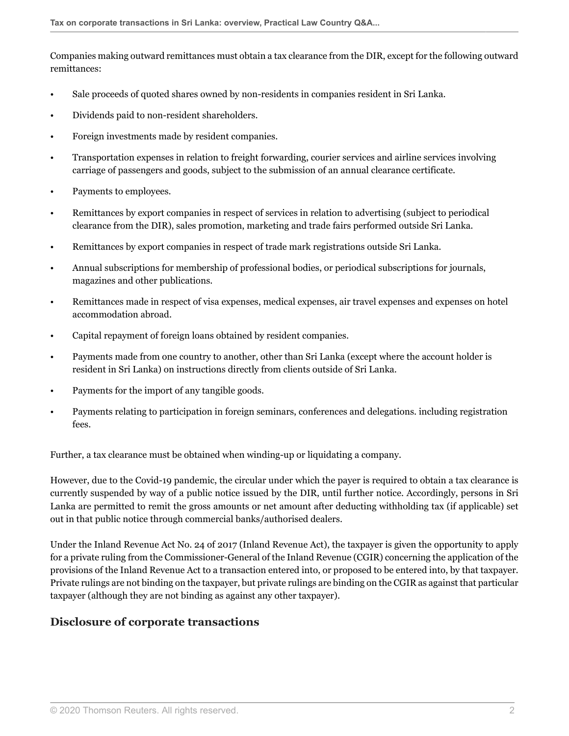Companies making outward remittances must obtain a tax clearance from the DIR, except for the following outward remittances:

- Sale proceeds of quoted shares owned by non-residents in companies resident in Sri Lanka.
- Dividends paid to non-resident shareholders.
- Foreign investments made by resident companies.
- Transportation expenses in relation to freight forwarding, courier services and airline services involving carriage of passengers and goods, subject to the submission of an annual clearance certificate.
- Payments to employees.
- Remittances by export companies in respect of services in relation to advertising (subject to periodical clearance from the DIR), sales promotion, marketing and trade fairs performed outside Sri Lanka.
- Remittances by export companies in respect of trade mark registrations outside Sri Lanka.
- Annual subscriptions for membership of professional bodies, or periodical subscriptions for journals, magazines and other publications.
- Remittances made in respect of visa expenses, medical expenses, air travel expenses and expenses on hotel accommodation abroad.
- Capital repayment of foreign loans obtained by resident companies.
- Payments made from one country to another, other than Sri Lanka (except where the account holder is resident in Sri Lanka) on instructions directly from clients outside of Sri Lanka.
- Payments for the import of any tangible goods.
- Payments relating to participation in foreign seminars, conferences and delegations. including registration fees.

Further, a tax clearance must be obtained when winding-up or liquidating a company.

However, due to the Covid-19 pandemic, the circular under which the payer is required to obtain a tax clearance is currently suspended by way of a public notice issued by the DIR, until further notice. Accordingly, persons in Sri Lanka are permitted to remit the gross amounts or net amount after deducting withholding tax (if applicable) set out in that public notice through commercial banks/authorised dealers.

Under the Inland Revenue Act No. 24 of 2017 (Inland Revenue Act), the taxpayer is given the opportunity to apply for a private ruling from the Commissioner-General of the Inland Revenue (CGIR) concerning the application of the provisions of the Inland Revenue Act to a transaction entered into, or proposed to be entered into, by that taxpayer. Private rulings are not binding on the taxpayer, but private rulings are binding on the CGIR as against that particular taxpayer (although they are not binding as against any other taxpayer).

## **Disclosure of corporate transactions**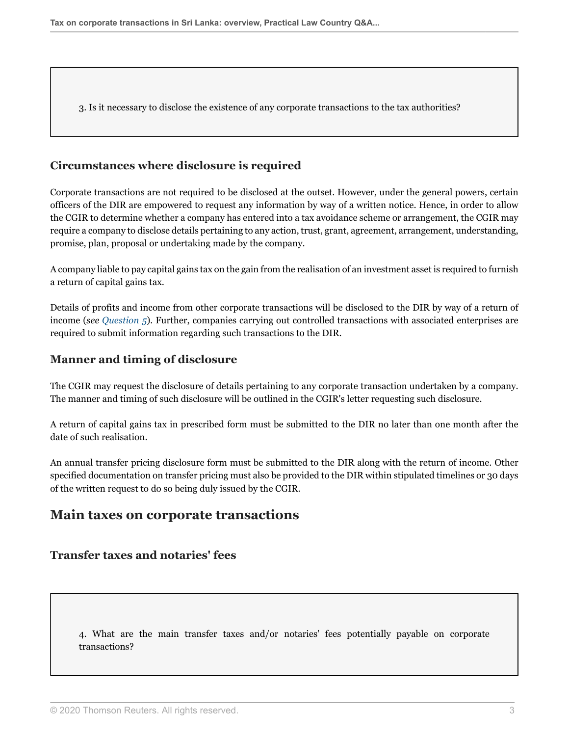3. Is it necessary to disclose the existence of any corporate transactions to the tax authorities?

#### **Circumstances where disclosure is required**

Corporate transactions are not required to be disclosed at the outset. However, under the general powers, certain officers of the DIR are empowered to request any information by way of a written notice. Hence, in order to allow the CGIR to determine whether a company has entered into a tax avoidance scheme or arrangement, the CGIR may require a company to disclose details pertaining to any action, trust, grant, agreement, arrangement, understanding, promise, plan, proposal or undertaking made by the company.

A company liable to pay capital gains tax on the gain from the realisation of an investment asset is required to furnish a return of capital gains tax.

Details of profits and income from other corporate transactions will be disclosed to the DIR by way of a return of income (*see [Question 5](#page-4-0)*). Further, companies carrying out controlled transactions with associated enterprises are required to submit information regarding such transactions to the DIR.

#### **Manner and timing of disclosure**

The CGIR may request the disclosure of details pertaining to any corporate transaction undertaken by a company. The manner and timing of such disclosure will be outlined in the CGIR's letter requesting such disclosure.

A return of capital gains tax in prescribed form must be submitted to the DIR no later than one month after the date of such realisation.

An annual transfer pricing disclosure form must be submitted to the DIR along with the return of income. Other specified documentation on transfer pricing must also be provided to the DIR within stipulated timelines or 30 days of the written request to do so being duly issued by the CGIR.

## **Main taxes on corporate transactions**

#### **Transfer taxes and notaries' fees**

4. What are the main transfer taxes and/or notaries' fees potentially payable on corporate transactions?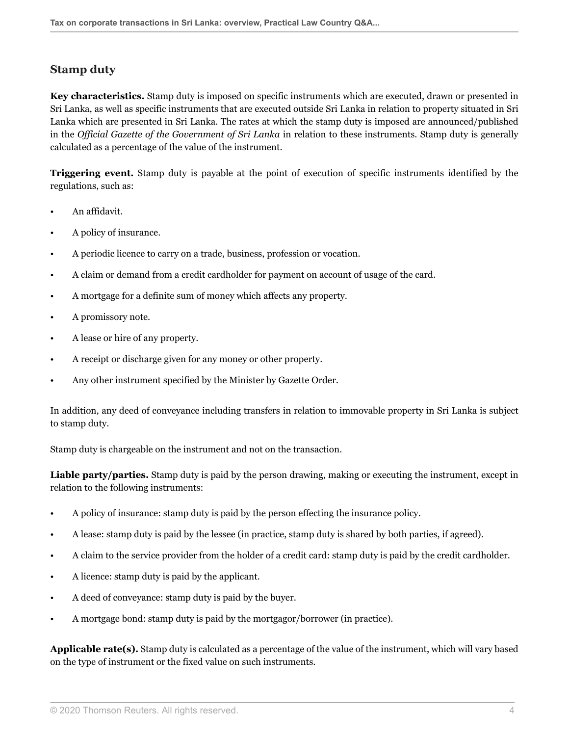## <span id="page-3-0"></span>**Stamp duty**

**Key characteristics.** Stamp duty is imposed on specific instruments which are executed, drawn or presented in Sri Lanka, as well as specific instruments that are executed outside Sri Lanka in relation to property situated in Sri Lanka which are presented in Sri Lanka. The rates at which the stamp duty is imposed are announced/published in the *Official Gazette of the Government of Sri Lanka* in relation to these instruments. Stamp duty is generally calculated as a percentage of the value of the instrument.

**Triggering event.** Stamp duty is payable at the point of execution of specific instruments identified by the regulations, such as:

- An affidavit.
- A policy of insurance.
- A periodic licence to carry on a trade, business, profession or vocation.
- A claim or demand from a credit cardholder for payment on account of usage of the card.
- A mortgage for a definite sum of money which affects any property.
- A promissory note.
- A lease or hire of any property.
- A receipt or discharge given for any money or other property.
- Any other instrument specified by the Minister by Gazette Order.

In addition, any deed of conveyance including transfers in relation to immovable property in Sri Lanka is subject to stamp duty.

Stamp duty is chargeable on the instrument and not on the transaction.

**Liable party/parties.** Stamp duty is paid by the person drawing, making or executing the instrument, except in relation to the following instruments:

- A policy of insurance: stamp duty is paid by the person effecting the insurance policy.
- A lease: stamp duty is paid by the lessee (in practice, stamp duty is shared by both parties, if agreed).
- A claim to the service provider from the holder of a credit card: stamp duty is paid by the credit cardholder.
- A licence: stamp duty is paid by the applicant.
- A deed of conveyance: stamp duty is paid by the buyer.
- A mortgage bond: stamp duty is paid by the mortgagor/borrower (in practice).

**Applicable rate(s).** Stamp duty is calculated as a percentage of the value of the instrument, which will vary based on the type of instrument or the fixed value on such instruments.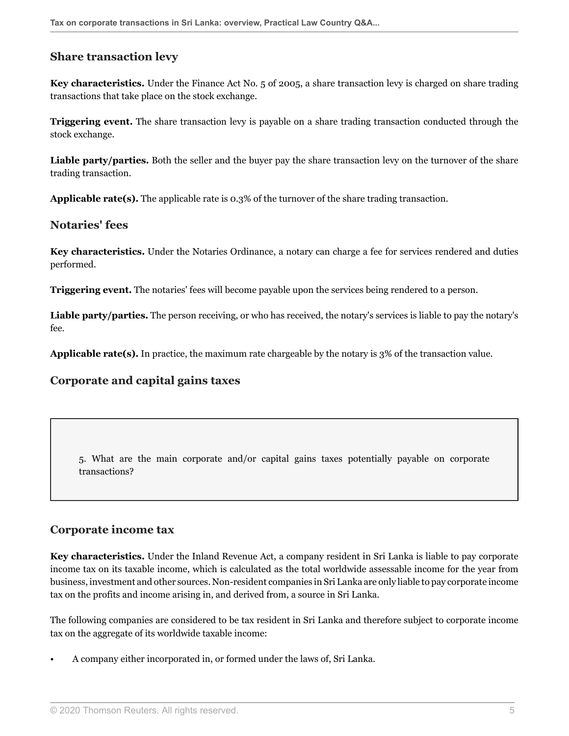#### **Share transaction levy**

**Key characteristics.** Under the Finance Act No. 5 of 2005, a share transaction levy is charged on share trading transactions that take place on the stock exchange.

**Triggering event.** The share transaction levy is payable on a share trading transaction conducted through the stock exchange.

**Liable party/parties.** Both the seller and the buyer pay the share transaction levy on the turnover of the share trading transaction.

**Applicable rate(s).** The applicable rate is 0.3% of the turnover of the share trading transaction.

#### **Notaries' fees**

**Key characteristics.** Under the Notaries Ordinance, a notary can charge a fee for services rendered and duties performed.

**Triggering event.** The notaries' fees will become payable upon the services being rendered to a person.

Liable party/parties. The person receiving, or who has received, the notary's services is liable to pay the notary's fee.

**Applicable rate(s).** In practice, the maximum rate chargeable by the notary is 3% of the transaction value.

#### **Corporate and capital gains taxes**

<span id="page-4-0"></span>5. What are the main corporate and/or capital gains taxes potentially payable on corporate transactions?

#### <span id="page-4-1"></span>**Corporate income tax**

**Key characteristics.** Under the Inland Revenue Act, a company resident in Sri Lanka is liable to pay corporate income tax on its taxable income, which is calculated as the total worldwide assessable income for the year from business, investment and other sources. Non-resident companies in Sri Lanka are only liable to pay corporate income tax on the profits and income arising in, and derived from, a source in Sri Lanka.

The following companies are considered to be tax resident in Sri Lanka and therefore subject to corporate income tax on the aggregate of its worldwide taxable income:

• A company either incorporated in, or formed under the laws of, Sri Lanka.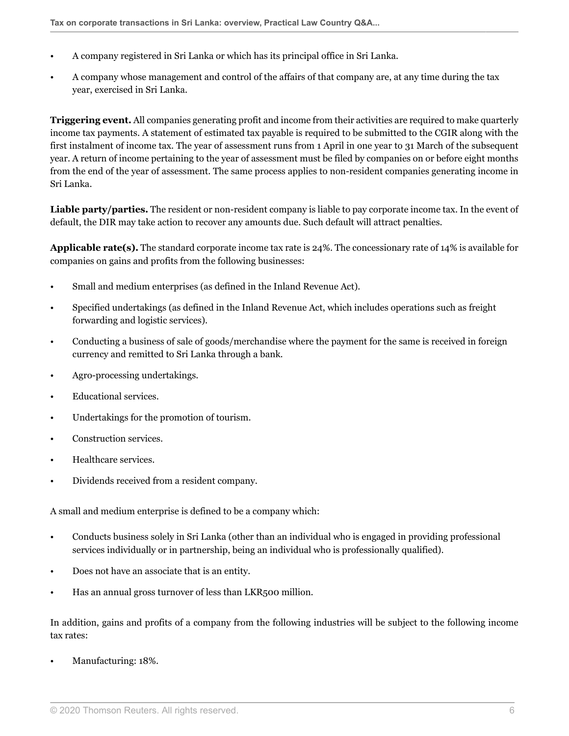- A company registered in Sri Lanka or which has its principal office in Sri Lanka.
- A company whose management and control of the affairs of that company are, at any time during the tax year, exercised in Sri Lanka.

**Triggering event.** All companies generating profit and income from their activities are required to make quarterly income tax payments. A statement of estimated tax payable is required to be submitted to the CGIR along with the first instalment of income tax. The year of assessment runs from 1 April in one year to 31 March of the subsequent year. A return of income pertaining to the year of assessment must be filed by companies on or before eight months from the end of the year of assessment. The same process applies to non-resident companies generating income in Sri Lanka.

**Liable party/parties.** The resident or non-resident company is liable to pay corporate income tax. In the event of default, the DIR may take action to recover any amounts due. Such default will attract penalties.

**Applicable rate(s).** The standard corporate income tax rate is 24%. The concessionary rate of 14% is available for companies on gains and profits from the following businesses:

- Small and medium enterprises (as defined in the Inland Revenue Act).
- Specified undertakings (as defined in the Inland Revenue Act, which includes operations such as freight forwarding and logistic services).
- Conducting a business of sale of goods/merchandise where the payment for the same is received in foreign currency and remitted to Sri Lanka through a bank.
- Agro-processing undertakings.
- Educational services.
- Undertakings for the promotion of tourism.
- Construction services.
- Healthcare services.
- Dividends received from a resident company.

A small and medium enterprise is defined to be a company which:

- Conducts business solely in Sri Lanka (other than an individual who is engaged in providing professional services individually or in partnership, being an individual who is professionally qualified).
- Does not have an associate that is an entity.
- Has an annual gross turnover of less than LKR500 million.

In addition, gains and profits of a company from the following industries will be subject to the following income tax rates:

• Manufacturing: 18%.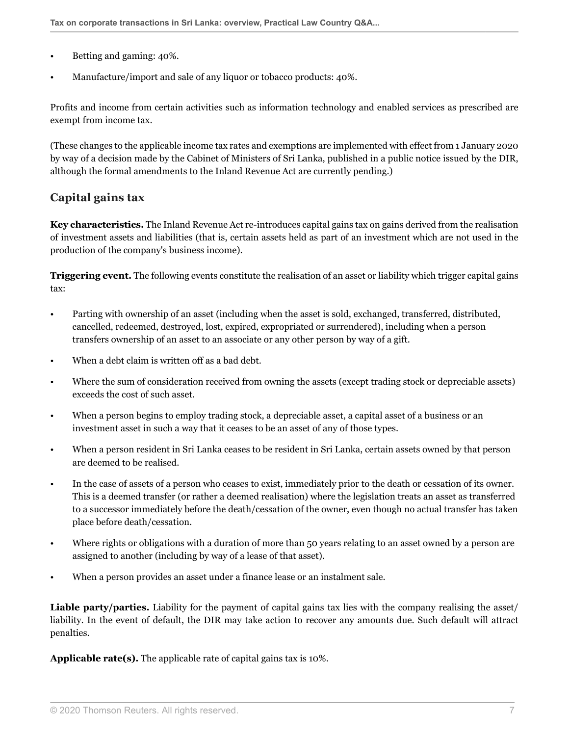- Betting and gaming: 40%.
- Manufacture/import and sale of any liquor or tobacco products: 40%.

Profits and income from certain activities such as information technology and enabled services as prescribed are exempt from income tax.

(These changes to the applicable income tax rates and exemptions are implemented with effect from 1 January 2020 by way of a decision made by the Cabinet of Ministers of Sri Lanka, published in a public notice issued by the DIR, although the formal amendments to the Inland Revenue Act are currently pending.)

## <span id="page-6-0"></span>**Capital gains tax**

**Key characteristics.** The Inland Revenue Act re-introduces capital gains tax on gains derived from the realisation of investment assets and liabilities (that is, certain assets held as part of an investment which are not used in the production of the company's business income).

**Triggering event.** The following events constitute the realisation of an asset or liability which trigger capital gains tax:

- Parting with ownership of an asset (including when the asset is sold, exchanged, transferred, distributed, cancelled, redeemed, destroyed, lost, expired, expropriated or surrendered), including when a person transfers ownership of an asset to an associate or any other person by way of a gift.
- When a debt claim is written off as a bad debt.
- Where the sum of consideration received from owning the assets (except trading stock or depreciable assets) exceeds the cost of such asset.
- When a person begins to employ trading stock, a depreciable asset, a capital asset of a business or an investment asset in such a way that it ceases to be an asset of any of those types.
- When a person resident in Sri Lanka ceases to be resident in Sri Lanka, certain assets owned by that person are deemed to be realised.
- In the case of assets of a person who ceases to exist, immediately prior to the death or cessation of its owner. This is a deemed transfer (or rather a deemed realisation) where the legislation treats an asset as transferred to a successor immediately before the death/cessation of the owner, even though no actual transfer has taken place before death/cessation.
- Where rights or obligations with a duration of more than 50 years relating to an asset owned by a person are assigned to another (including by way of a lease of that asset).
- When a person provides an asset under a finance lease or an instalment sale.

**Liable party/parties.** Liability for the payment of capital gains tax lies with the company realising the asset/ liability. In the event of default, the DIR may take action to recover any amounts due. Such default will attract penalties.

**Applicable rate(s).** The applicable rate of capital gains tax is 10%.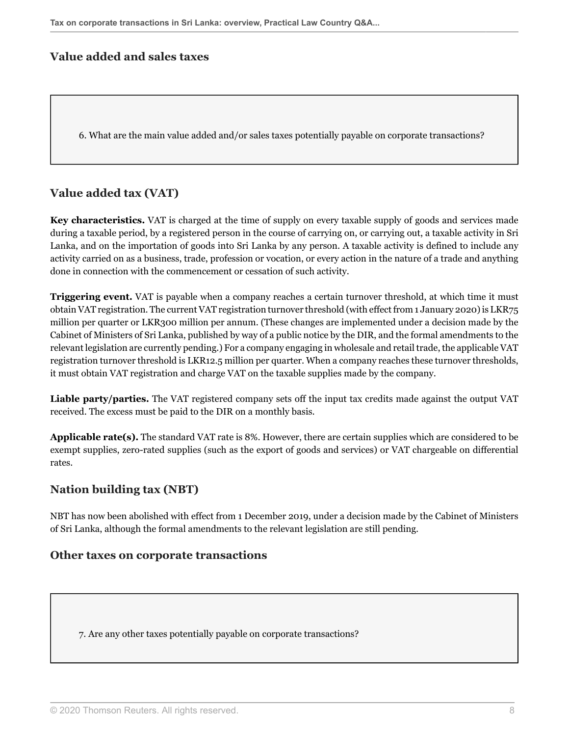#### **Value added and sales taxes**

6. What are the main value added and/or sales taxes potentially payable on corporate transactions?

#### <span id="page-7-0"></span>**Value added tax (VAT)**

**Key characteristics.** VAT is charged at the time of supply on every taxable supply of goods and services made during a taxable period, by a registered person in the course of carrying on, or carrying out, a taxable activity in Sri Lanka, and on the importation of goods into Sri Lanka by any person. A taxable activity is defined to include any activity carried on as a business, trade, profession or vocation, or every action in the nature of a trade and anything done in connection with the commencement or cessation of such activity.

**Triggering event.** VAT is payable when a company reaches a certain turnover threshold, at which time it must obtain VAT registration. The current VAT registration turnover threshold (with effect from 1 January 2020) is LKR75 million per quarter or LKR300 million per annum. (These changes are implemented under a decision made by the Cabinet of Ministers of Sri Lanka, published by way of a public notice by the DIR, and the formal amendments to the relevant legislation are currently pending.) For a company engaging in wholesale and retail trade, the applicable VAT registration turnover threshold is LKR12.5 million per quarter. When a company reaches these turnover thresholds, it must obtain VAT registration and charge VAT on the taxable supplies made by the company.

**Liable party/parties.** The VAT registered company sets off the input tax credits made against the output VAT received. The excess must be paid to the DIR on a monthly basis.

**Applicable rate(s).** The standard VAT rate is 8%. However, there are certain supplies which are considered to be exempt supplies, zero-rated supplies (such as the export of goods and services) or VAT chargeable on differential rates.

#### **Nation building tax (NBT)**

NBT has now been abolished with effect from 1 December 2019, under a decision made by the Cabinet of Ministers of Sri Lanka, although the formal amendments to the relevant legislation are still pending.

#### **Other taxes on corporate transactions**

7. Are any other taxes potentially payable on corporate transactions?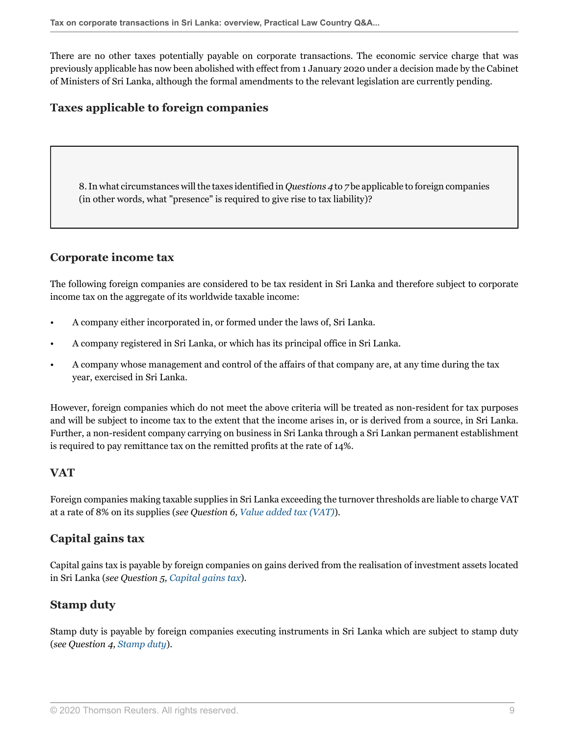There are no other taxes potentially payable on corporate transactions. The economic service charge that was previously applicable has now been abolished with effect from 1 January 2020 under a decision made by the Cabinet of Ministers of Sri Lanka, although the formal amendments to the relevant legislation are currently pending.

## **Taxes applicable to foreign companies**

8. In what circumstances will the taxes identified in *Questions 4* to *7* be applicable to foreign companies (in other words, what "presence" is required to give rise to tax liability)?

#### **Corporate income tax**

The following foreign companies are considered to be tax resident in Sri Lanka and therefore subject to corporate income tax on the aggregate of its worldwide taxable income:

- A company either incorporated in, or formed under the laws of, Sri Lanka.
- A company registered in Sri Lanka, or which has its principal office in Sri Lanka.
- A company whose management and control of the affairs of that company are, at any time during the tax year, exercised in Sri Lanka.

However, foreign companies which do not meet the above criteria will be treated as non-resident for tax purposes and will be subject to income tax to the extent that the income arises in, or is derived from a source, in Sri Lanka. Further, a non-resident company carrying on business in Sri Lanka through a Sri Lankan permanent establishment is required to pay remittance tax on the remitted profits at the rate of 14%.

## **VAT**

Foreign companies making taxable supplies in Sri Lanka exceeding the turnover thresholds are liable to charge VAT at a rate of 8% on its supplies (*see Question 6, [Value added tax \(VAT\)](#page-7-0)*).

## **Capital gains tax**

Capital gains tax is payable by foreign companies on gains derived from the realisation of investment assets located in Sri Lanka (*see Question 5, [Capital gains tax](#page-6-0)*).

## **Stamp duty**

Stamp duty is payable by foreign companies executing instruments in Sri Lanka which are subject to stamp duty (*see Question 4, [Stamp duty](#page-3-0)*).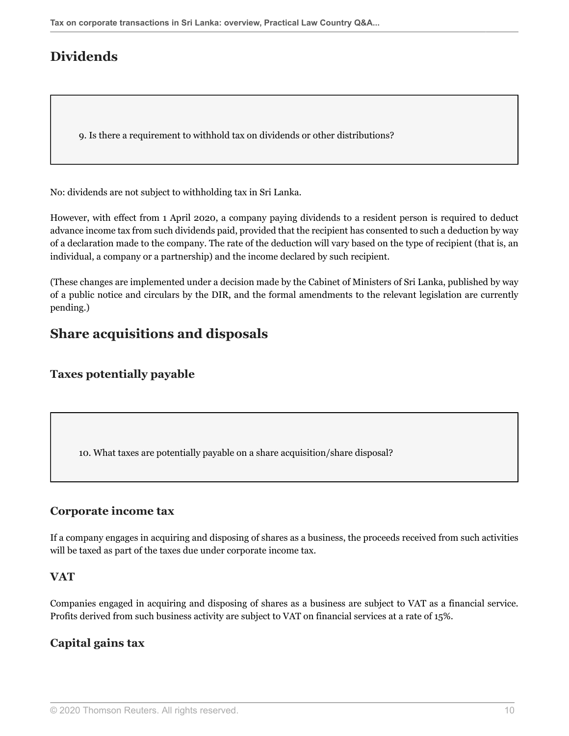## **Dividends**

<span id="page-9-0"></span>9. Is there a requirement to withhold tax on dividends or other distributions?

No: dividends are not subject to withholding tax in Sri Lanka.

However, with effect from 1 April 2020, a company paying dividends to a resident person is required to deduct advance income tax from such dividends paid, provided that the recipient has consented to such a deduction by way of a declaration made to the company. The rate of the deduction will vary based on the type of recipient (that is, an individual, a company or a partnership) and the income declared by such recipient.

(These changes are implemented under a decision made by the Cabinet of Ministers of Sri Lanka, published by way of a public notice and circulars by the DIR, and the formal amendments to the relevant legislation are currently pending.)

## **Share acquisitions and disposals**

## **Taxes potentially payable**

<span id="page-9-1"></span>10. What taxes are potentially payable on a share acquisition/share disposal?

## **Corporate income tax**

If a company engages in acquiring and disposing of shares as a business, the proceeds received from such activities will be taxed as part of the taxes due under corporate income tax.

#### **VAT**

Companies engaged in acquiring and disposing of shares as a business are subject to VAT as a financial service. Profits derived from such business activity are subject to VAT on financial services at a rate of 15%.

## **Capital gains tax**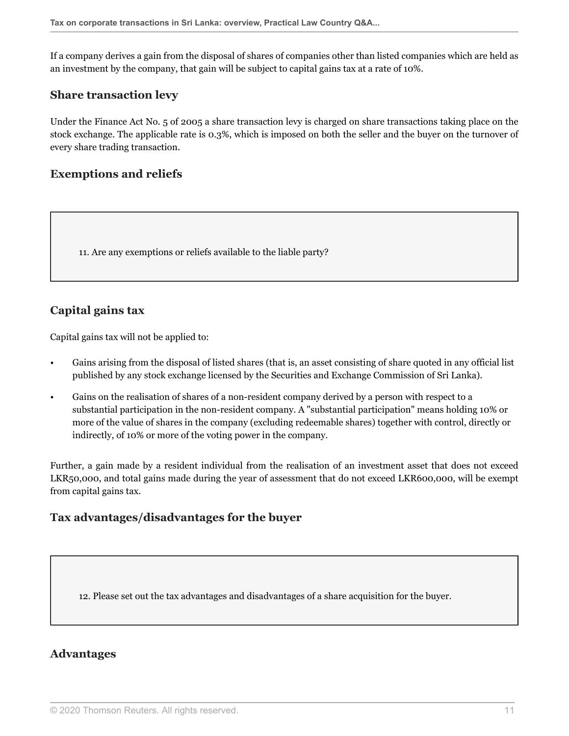If a company derives a gain from the disposal of shares of companies other than listed companies which are held as an investment by the company, that gain will be subject to capital gains tax at a rate of 10%.

#### **Share transaction levy**

Under the Finance Act No. 5 of 2005 a share transaction levy is charged on share transactions taking place on the stock exchange. The applicable rate is 0.3%, which is imposed on both the seller and the buyer on the turnover of every share trading transaction.

## **Exemptions and reliefs**

<span id="page-10-0"></span>11. Are any exemptions or reliefs available to the liable party?

## **Capital gains tax**

Capital gains tax will not be applied to:

- Gains arising from the disposal of listed shares (that is, an asset consisting of share quoted in any official list published by any stock exchange licensed by the Securities and Exchange Commission of Sri Lanka).
- Gains on the realisation of shares of a non-resident company derived by a person with respect to a substantial participation in the non-resident company. A "substantial participation" means holding 10% or more of the value of shares in the company (excluding redeemable shares) together with control, directly or indirectly, of 10% or more of the voting power in the company.

Further, a gain made by a resident individual from the realisation of an investment asset that does not exceed LKR50,000, and total gains made during the year of assessment that do not exceed LKR600,000, will be exempt from capital gains tax.

## **Tax advantages/disadvantages for the buyer**

12. Please set out the tax advantages and disadvantages of a share acquisition for the buyer.

## **Advantages**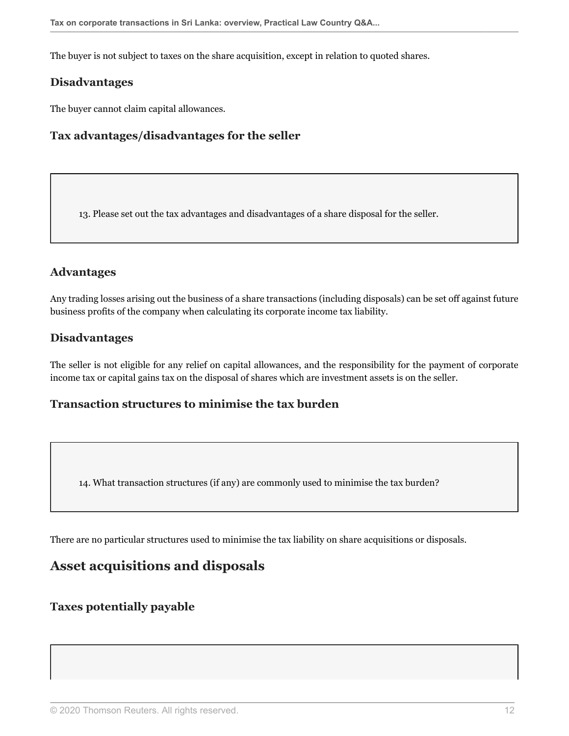The buyer is not subject to taxes on the share acquisition, except in relation to quoted shares.

#### **Disadvantages**

The buyer cannot claim capital allowances.

## **Tax advantages/disadvantages for the seller**

13. Please set out the tax advantages and disadvantages of a share disposal for the seller.

## **Advantages**

Any trading losses arising out the business of a share transactions (including disposals) can be set off against future business profits of the company when calculating its corporate income tax liability.

## **Disadvantages**

The seller is not eligible for any relief on capital allowances, and the responsibility for the payment of corporate income tax or capital gains tax on the disposal of shares which are investment assets is on the seller.

#### **Transaction structures to minimise the tax burden**

14. What transaction structures (if any) are commonly used to minimise the tax burden?

There are no particular structures used to minimise the tax liability on share acquisitions or disposals.

## **Asset acquisitions and disposals**

#### **Taxes potentially payable**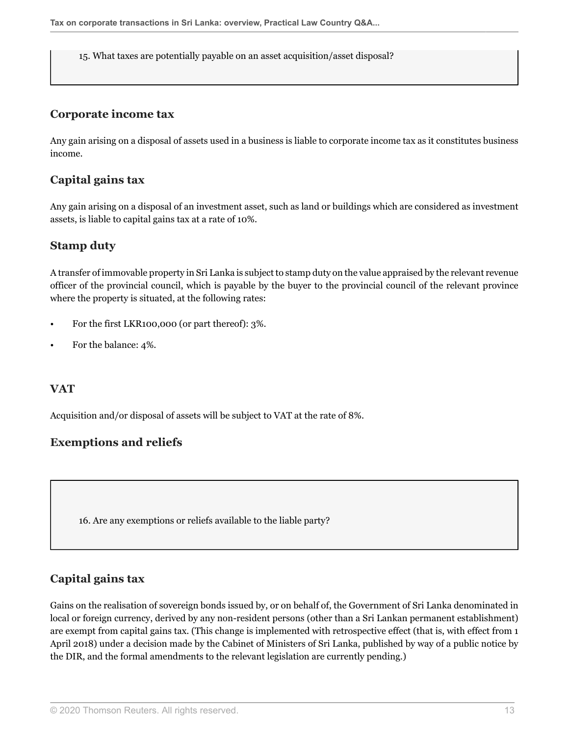15. What taxes are potentially payable on an asset acquisition/asset disposal?

#### **Corporate income tax**

Any gain arising on a disposal of assets used in a business is liable to corporate income tax as it constitutes business income.

#### **Capital gains tax**

Any gain arising on a disposal of an investment asset, such as land or buildings which are considered as investment assets, is liable to capital gains tax at a rate of 10%.

#### **Stamp duty**

A transfer of immovable property in Sri Lanka is subject to stamp duty on the value appraised by the relevant revenue officer of the provincial council, which is payable by the buyer to the provincial council of the relevant province where the property is situated, at the following rates:

- For the first LKR100,000 (or part thereof): 3%.
- For the balance: 4%.

#### **VAT**

Acquisition and/or disposal of assets will be subject to VAT at the rate of 8%.

## **Exemptions and reliefs**

16. Are any exemptions or reliefs available to the liable party?

## **Capital gains tax**

Gains on the realisation of sovereign bonds issued by, or on behalf of, the Government of Sri Lanka denominated in local or foreign currency, derived by any non-resident persons (other than a Sri Lankan permanent establishment) are exempt from capital gains tax. (This change is implemented with retrospective effect (that is, with effect from 1 April 2018) under a decision made by the Cabinet of Ministers of Sri Lanka, published by way of a public notice by the DIR, and the formal amendments to the relevant legislation are currently pending.)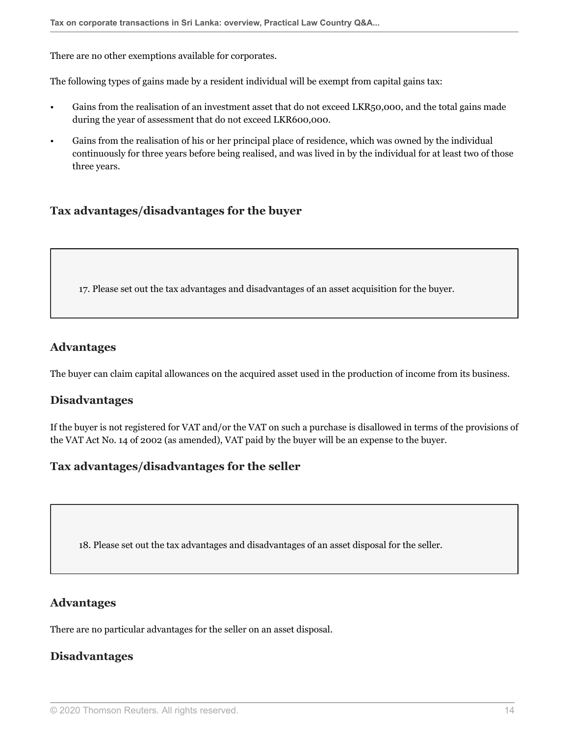There are no other exemptions available for corporates.

The following types of gains made by a resident individual will be exempt from capital gains tax:

- Gains from the realisation of an investment asset that do not exceed LKR50,000, and the total gains made during the year of assessment that do not exceed LKR600,000.
- Gains from the realisation of his or her principal place of residence, which was owned by the individual continuously for three years before being realised, and was lived in by the individual for at least two of those three years.

#### **Tax advantages/disadvantages for the buyer**

17. Please set out the tax advantages and disadvantages of an asset acquisition for the buyer.

#### **Advantages**

The buyer can claim capital allowances on the acquired asset used in the production of income from its business.

#### **Disadvantages**

If the buyer is not registered for VAT and/or the VAT on such a purchase is disallowed in terms of the provisions of the VAT Act No. 14 of 2002 (as amended), VAT paid by the buyer will be an expense to the buyer.

## **Tax advantages/disadvantages for the seller**

18. Please set out the tax advantages and disadvantages of an asset disposal for the seller.

#### **Advantages**

There are no particular advantages for the seller on an asset disposal.

#### **Disadvantages**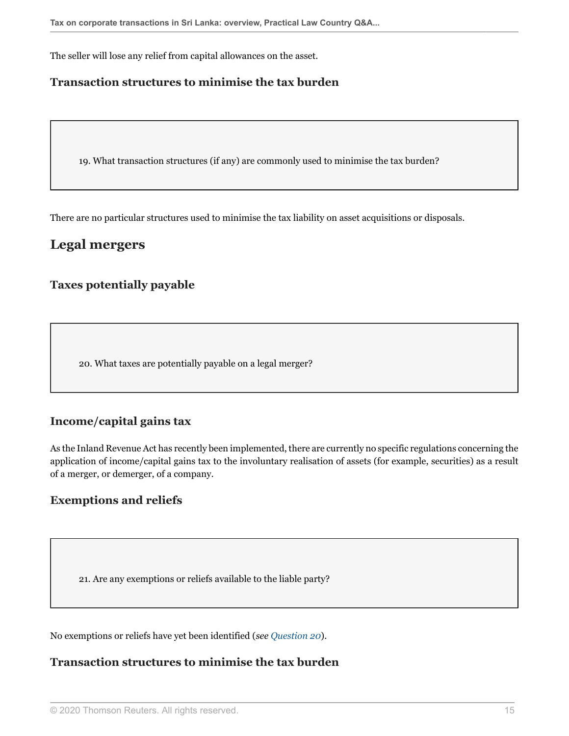The seller will lose any relief from capital allowances on the asset.

## **Transaction structures to minimise the tax burden**

19. What transaction structures (if any) are commonly used to minimise the tax burden?

There are no particular structures used to minimise the tax liability on asset acquisitions or disposals.

## **Legal mergers**

## **Taxes potentially payable**

<span id="page-14-0"></span>20. What taxes are potentially payable on a legal merger?

## **Income/capital gains tax**

As the Inland Revenue Act has recently been implemented, there are currently no specific regulations concerning the application of income/capital gains tax to the involuntary realisation of assets (for example, securities) as a result of a merger, or demerger, of a company.

## **Exemptions and reliefs**

21. Are any exemptions or reliefs available to the liable party?

No exemptions or reliefs have yet been identified (*see [Question 20](#page-14-0)*).

#### **Transaction structures to minimise the tax burden**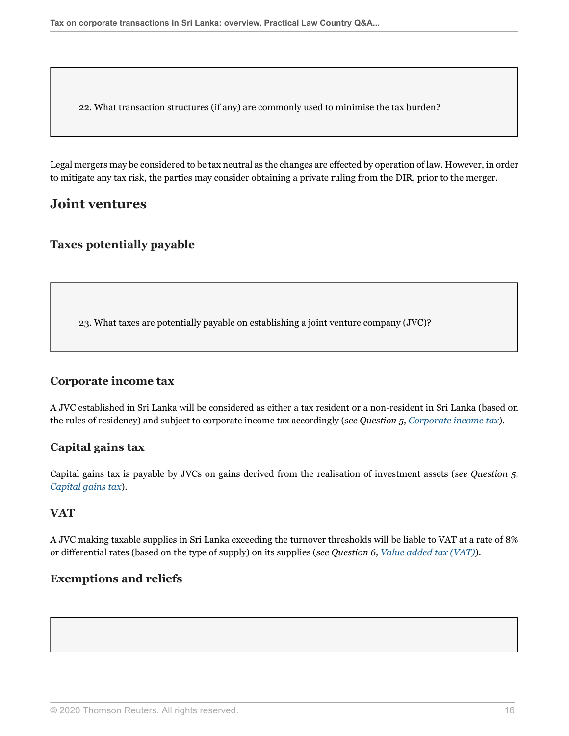22. What transaction structures (if any) are commonly used to minimise the tax burden?

Legal mergers may be considered to be tax neutral as the changes are effected by operation of law. However, in order to mitigate any tax risk, the parties may consider obtaining a private ruling from the DIR, prior to the merger.

## **Joint ventures**

#### **Taxes potentially payable**

23. What taxes are potentially payable on establishing a joint venture company (JVC)?

#### **Corporate income tax**

A JVC established in Sri Lanka will be considered as either a tax resident or a non-resident in Sri Lanka (based on the rules of residency) and subject to corporate income tax accordingly (*see Question 5, [Corporate income tax](#page-4-1)*).

#### **Capital gains tax**

Capital gains tax is payable by JVCs on gains derived from the realisation of investment assets (*see Question 5, [Capital gains tax](#page-6-0)*).

#### **VAT**

A JVC making taxable supplies in Sri Lanka exceeding the turnover thresholds will be liable to VAT at a rate of 8% or differential rates (based on the type of supply) on its supplies (*see Question 6, [Value added tax \(VAT\)](#page-7-0)*).

## **Exemptions and reliefs**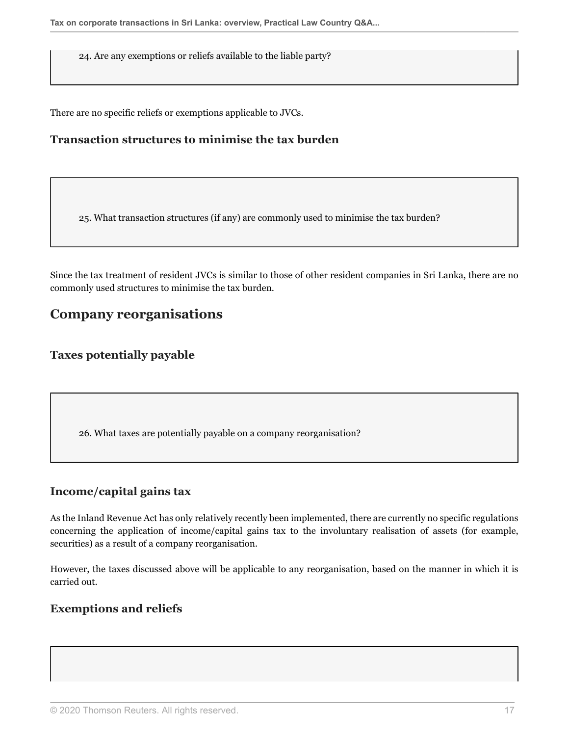24. Are any exemptions or reliefs available to the liable party?

There are no specific reliefs or exemptions applicable to JVCs.

## **Transaction structures to minimise the tax burden**

25. What transaction structures (if any) are commonly used to minimise the tax burden?

Since the tax treatment of resident JVCs is similar to those of other resident companies in Sri Lanka, there are no commonly used structures to minimise the tax burden.

## **Company reorganisations**

#### **Taxes potentially payable**

26. What taxes are potentially payable on a company reorganisation?

#### **Income/capital gains tax**

As the Inland Revenue Act has only relatively recently been implemented, there are currently no specific regulations concerning the application of income/capital gains tax to the involuntary realisation of assets (for example, securities) as a result of a company reorganisation.

However, the taxes discussed above will be applicable to any reorganisation, based on the manner in which it is carried out.

#### **Exemptions and reliefs**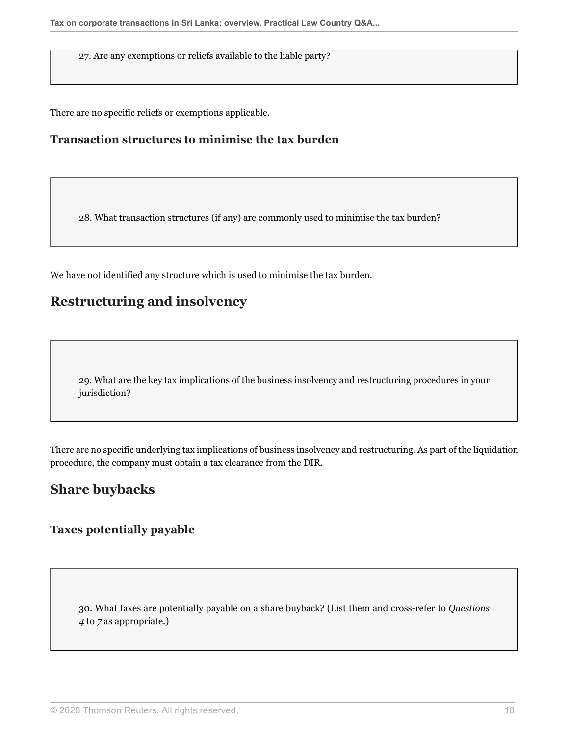27. Are any exemptions or reliefs available to the liable party?

There are no specific reliefs or exemptions applicable.

## **Transaction structures to minimise the tax burden**

28. What transaction structures (if any) are commonly used to minimise the tax burden?

We have not identified any structure which is used to minimise the tax burden.

## **Restructuring and insolvency**

29. What are the key tax implications of the business insolvency and restructuring procedures in your jurisdiction?

There are no specific underlying tax implications of business insolvency and restructuring. As part of the liquidation procedure, the company must obtain a tax clearance from the DIR.

## **Share buybacks**

## **Taxes potentially payable**

30. What taxes are potentially payable on a share buyback? (List them and cross-refer to *Questions 4* to *7* as appropriate.)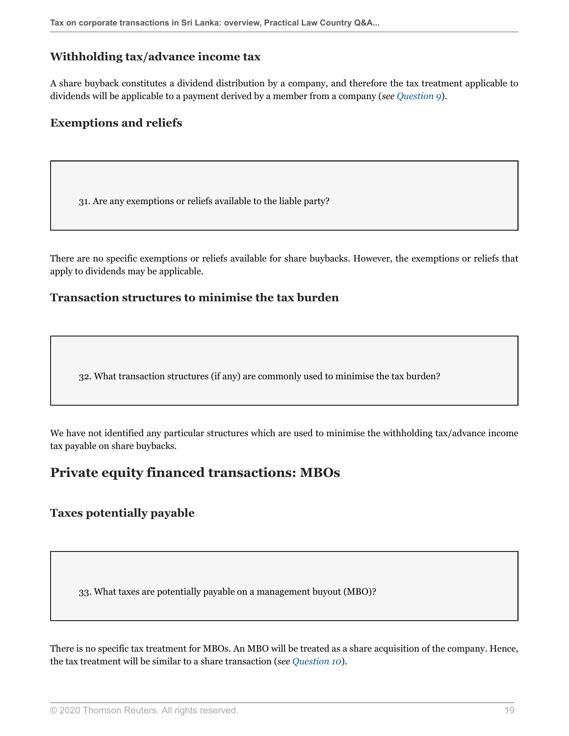#### **Withholding tax/advance income tax**

A share buyback constitutes a dividend distribution by a company, and therefore the tax treatment applicable to dividends will be applicable to a payment derived by a member from a company (*see [Question 9](#page-9-0)*).

#### **Exemptions and reliefs**

31. Are any exemptions or reliefs available to the liable party?

There are no specific exemptions or reliefs available for share buybacks. However, the exemptions or reliefs that apply to dividends may be applicable.

#### **Transaction structures to minimise the tax burden**

32. What transaction structures (if any) are commonly used to minimise the tax burden?

We have not identified any particular structures which are used to minimise the withholding tax/advance income tax payable on share buybacks.

## **Private equity financed transactions: MBOs**

#### **Taxes potentially payable**

33. What taxes are potentially payable on a management buyout (MBO)?

There is no specific tax treatment for MBOs. An MBO will be treated as a share acquisition of the company. Hence, the tax treatment will be similar to a share transaction (*see [Question 10](#page-9-1)*).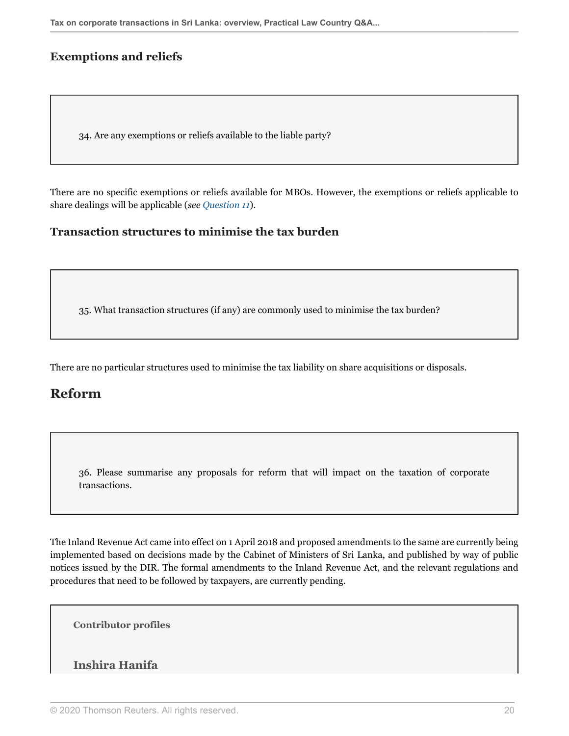## **Exemptions and reliefs**

34. Are any exemptions or reliefs available to the liable party?

There are no specific exemptions or reliefs available for MBOs. However, the exemptions or reliefs applicable to share dealings will be applicable (*see [Question 11](#page-10-0)*).

#### **Transaction structures to minimise the tax burden**

35. What transaction structures (if any) are commonly used to minimise the tax burden?

There are no particular structures used to minimise the tax liability on share acquisitions or disposals.

## **Reform**

36. Please summarise any proposals for reform that will impact on the taxation of corporate transactions.

The Inland Revenue Act came into effect on 1 April 2018 and proposed amendments to the same are currently being implemented based on decisions made by the Cabinet of Ministers of Sri Lanka, and published by way of public notices issued by the DIR. The formal amendments to the Inland Revenue Act, and the relevant regulations and procedures that need to be followed by taxpayers, are currently pending.

**Contributor profiles**

#### <span id="page-19-0"></span>**Inshira Hanifa**